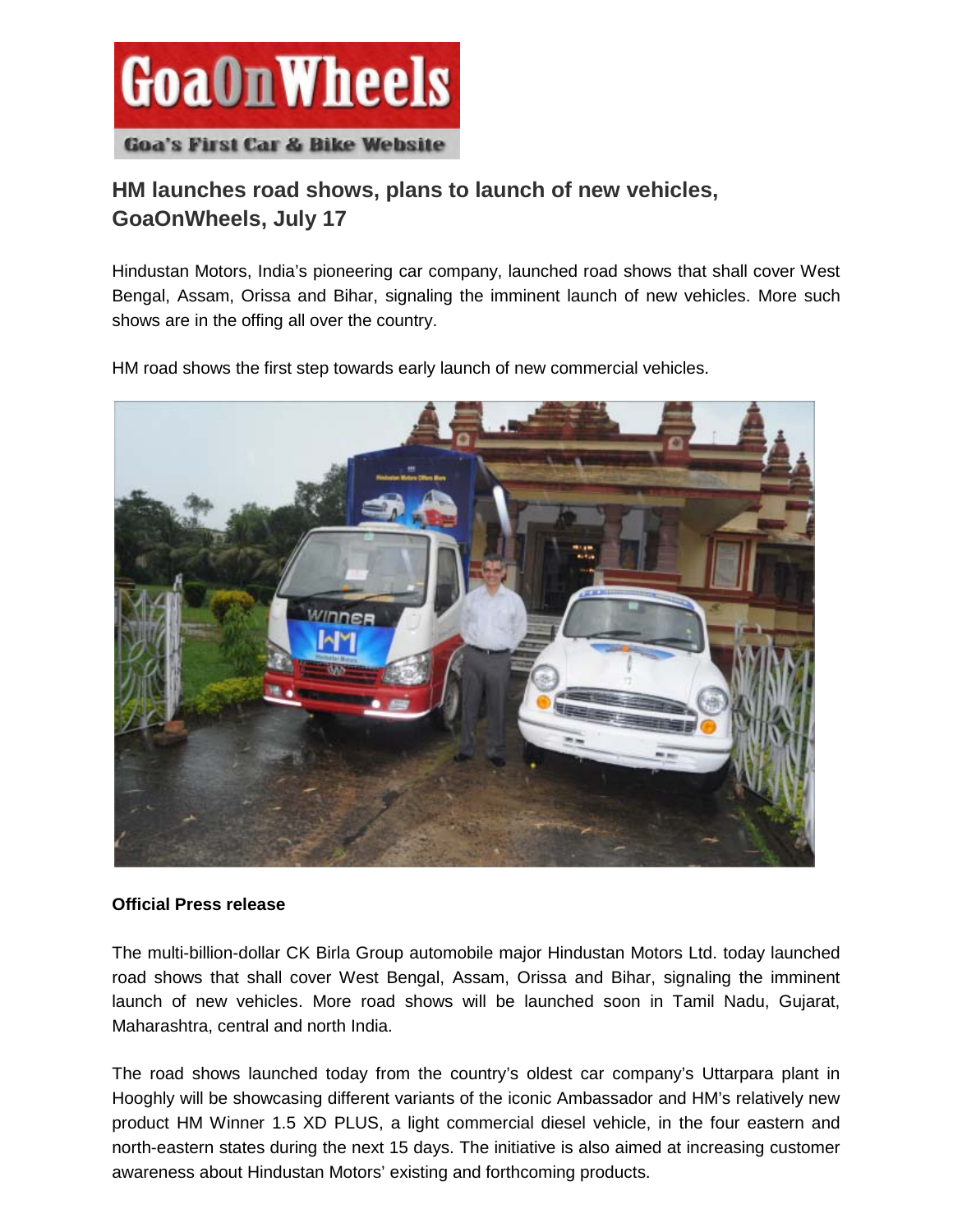

## **HM launches road shows, plans to launch of new vehicles, GoaOnWheels, July 17**

Hindustan Motors, India's pioneering car company, launched road shows that shall cover West Bengal, Assam, Orissa and Bihar, signaling the imminent launch of new vehicles. More such shows are in the offing all over the country.

HM road shows the first step towards early launch of new commercial vehicles.



## **Official Press release**

The multi-billion-dollar CK Birla Group automobile major Hindustan Motors Ltd. today launched road shows that shall cover West Bengal, Assam, Orissa and Bihar, signaling the imminent launch of new vehicles. More road shows will be launched soon in Tamil Nadu, Gujarat, Maharashtra, central and north India.

The road shows launched today from the country's oldest car company's Uttarpara plant in Hooghly will be showcasing different variants of the iconic Ambassador and HM's relatively new product HM Winner 1.5 XD PLUS, a light commercial diesel vehicle, in the four eastern and north-eastern states during the next 15 days. The initiative is also aimed at increasing customer awareness about Hindustan Motors' existing and forthcoming products.